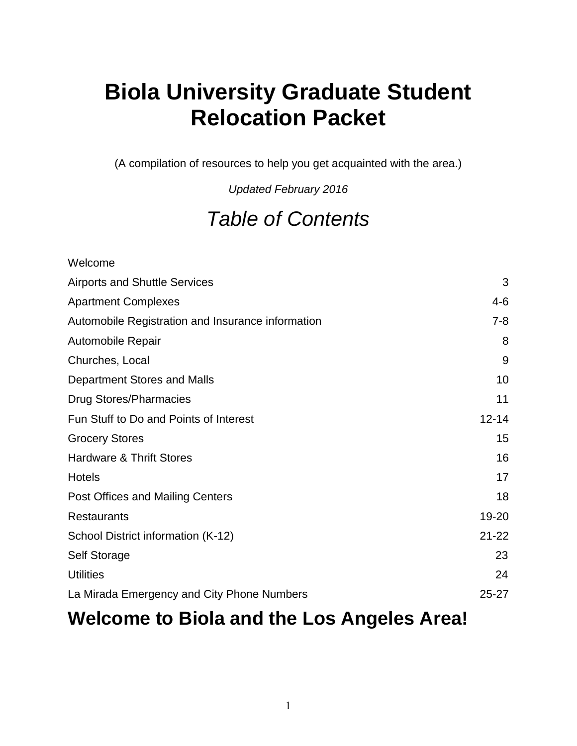## **Biola University Graduate Student Relocation Packet**

(A compilation of resources to help you get acquainted with the area.)

*Updated February 2016*

## *Table of Contents*

| Welcome                                           |           |
|---------------------------------------------------|-----------|
| <b>Airports and Shuttle Services</b>              | 3         |
| <b>Apartment Complexes</b>                        | $4 - 6$   |
| Automobile Registration and Insurance information | $7 - 8$   |
| Automobile Repair                                 | 8         |
| Churches, Local                                   | 9         |
| Department Stores and Malls                       | 10        |
| <b>Drug Stores/Pharmacies</b>                     | 11        |
| Fun Stuff to Do and Points of Interest            | $12 - 14$ |
| <b>Grocery Stores</b>                             | 15        |
| <b>Hardware &amp; Thrift Stores</b>               | 16        |
| <b>Hotels</b>                                     | 17        |
| Post Offices and Mailing Centers                  | 18        |
| <b>Restaurants</b>                                | 19-20     |
| School District information (K-12)                | $21 - 22$ |
| Self Storage                                      | 23        |
| <b>Utilities</b>                                  | 24        |
| La Mirada Emergency and City Phone Numbers        | $25 - 27$ |

## **Welcome to Biola and the Los Angeles Area!**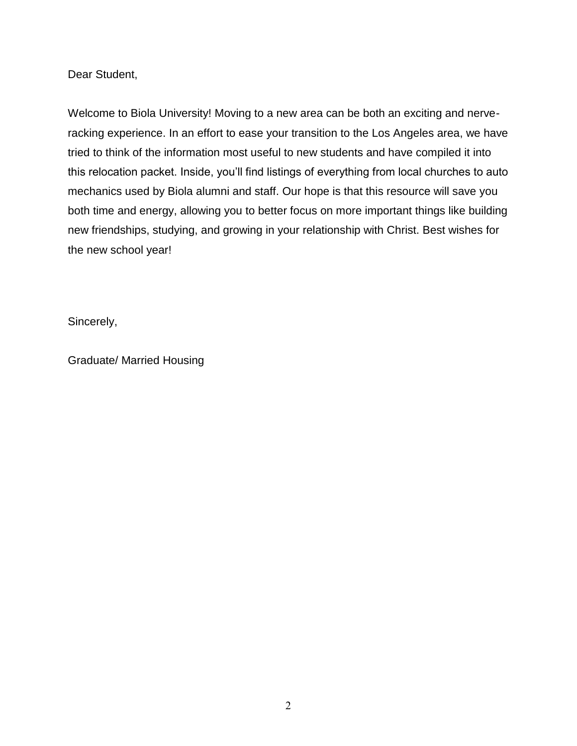Dear Student,

Welcome to Biola University! Moving to a new area can be both an exciting and nerveracking experience. In an effort to ease your transition to the Los Angeles area, we have tried to think of the information most useful to new students and have compiled it into this relocation packet. Inside, you'll find listings of everything from local churches to auto mechanics used by Biola alumni and staff. Our hope is that this resource will save you both time and energy, allowing you to better focus on more important things like building new friendships, studying, and growing in your relationship with Christ. Best wishes for the new school year!

Sincerely,

Graduate/ Married Housing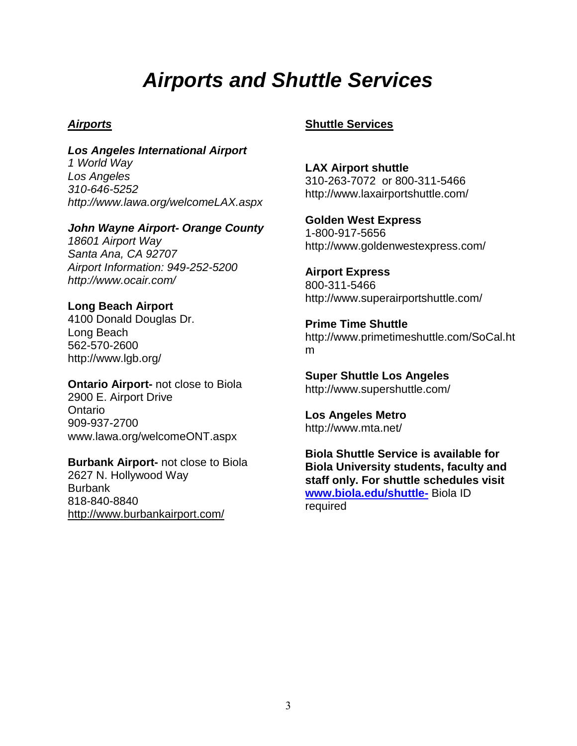## *Airports and Shuttle Services*

## *Airports*

*Los Angeles International Airport 1 World Way Los Angeles 310-646-5252 http://www.lawa.org/welcomeLAX.aspx*

## *John Wayne Airport- Orange County*

*18601 Airport Way Santa Ana, CA 92707 Airport Information: 949-252-5200 http://www.ocair.com/*

## **Long Beach Airport**

4100 Donald Douglas Dr. Long Beach 562-570-2600 http://www.lgb.org/

**Ontario Airport-** not close to Biola 2900 E. Airport Drive **Ontario** 909-937-2700 www.lawa.org/welcomeONT.aspx

**Burbank Airport-** not close to Biola 2627 N. Hollywood Way Burbank 818-840-8840 <http://www.burbankairport.com/>

## **Shuttle Services**

**LAX Airport shuttle**  310-263-7072 or 800-311-5466 http://www.laxairportshuttle.com/

**Golden West Express** 1-800-917-5656 http://www.goldenwestexpress.com/

**Airport Express** 800-311-5466 http://www.superairportshuttle.com/

**Prime Time Shuttle** http://www.primetimeshuttle.com/SoCal.ht m

**Super Shuttle Los Angeles** http://www.supershuttle.com/

**Los Angeles Metro** http://www.mta.net/

**Biola Shuttle Service is available for Biola University students, faculty and staff only. For shuttle schedules visit [www.biola.edu/shuttle-](http://www.biola.edu/shuttle-)** Biola ID required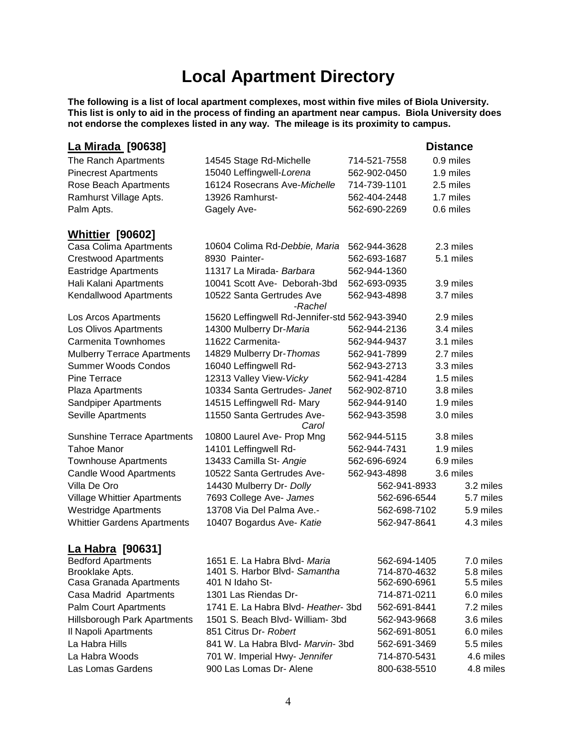## **Local Apartment Directory**

**The following is a list of local apartment complexes, most within five miles of Biola University. This list is only to aid in the process of finding an apartment near campus. Biola University does not endorse the complexes listed in any way. The mileage is its proximity to campus.** 

| <u>La Mirada</u> [90638]           |                                                |              | <b>Distance</b> |
|------------------------------------|------------------------------------------------|--------------|-----------------|
| The Ranch Apartments               | 14545 Stage Rd-Michelle                        | 714-521-7558 | 0.9 miles       |
| <b>Pinecrest Apartments</b>        | 15040 Leffingwell-Lorena                       | 562-902-0450 | 1.9 miles       |
| Rose Beach Apartments              | 16124 Rosecrans Ave-Michelle                   | 714-739-1101 | 2.5 miles       |
| Ramhurst Village Apts.             | 13926 Ramhurst-                                | 562-404-2448 | 1.7 miles       |
| Palm Apts.                         | Gagely Ave-                                    | 562-690-2269 | 0.6 miles       |
| <u>Whittier</u> [90602]            |                                                |              |                 |
| Casa Colima Apartments             | 10604 Colima Rd-Debbie, Maria                  | 562-944-3628 | 2.3 miles       |
| <b>Crestwood Apartments</b>        | 8930 Painter-                                  | 562-693-1687 | 5.1 miles       |
| <b>Eastridge Apartments</b>        | 11317 La Mirada- Barbara                       | 562-944-1360 |                 |
| Hali Kalani Apartments             | 10041 Scott Ave- Deborah-3bd                   | 562-693-0935 | 3.9 miles       |
| Kendallwood Apartments             | 10522 Santa Gertrudes Ave<br>-Rachel           | 562-943-4898 | 3.7 miles       |
| Los Arcos Apartments               | 15620 Leffingwell Rd-Jennifer-std 562-943-3940 |              | 2.9 miles       |
| Los Olivos Apartments              | 14300 Mulberry Dr-Maria                        | 562-944-2136 | 3.4 miles       |
| Carmenita Townhomes                | 11622 Carmenita-                               | 562-944-9437 | 3.1 miles       |
| <b>Mulberry Terrace Apartments</b> | 14829 Mulberry Dr-Thomas                       | 562-941-7899 | 2.7 miles       |
| <b>Summer Woods Condos</b>         | 16040 Leffingwell Rd-                          | 562-943-2713 | 3.3 miles       |
| <b>Pine Terrace</b>                | 12313 Valley View-Vicky                        | 562-941-4284 | 1.5 miles       |
| Plaza Apartments                   | 10334 Santa Gertrudes- Janet                   | 562-902-8710 | 3.8 miles       |
| Sandpiper Apartments               | 14515 Leffingwell Rd- Mary                     | 562-944-9140 | 1.9 miles       |
| Seville Apartments                 | 11550 Santa Gertrudes Ave-<br>Carol            | 562-943-3598 | 3.0 miles       |
| <b>Sunshine Terrace Apartments</b> | 10800 Laurel Ave- Prop Mng                     | 562-944-5115 | 3.8 miles       |
| Tahoe Manor                        | 14101 Leffingwell Rd-                          | 562-944-7431 | 1.9 miles       |
| <b>Townhouse Apartments</b>        | 13433 Camilla St- Angie                        | 562-696-6924 | 6.9 miles       |
| <b>Candle Wood Apartments</b>      | 10522 Santa Gertrudes Ave-                     | 562-943-4898 | 3.6 miles       |
| Villa De Oro                       | 14430 Mulberry Dr- Dolly                       | 562-941-8933 | 3.2 miles       |
| Village Whittier Apartments        | 7693 College Ave- James                        | 562-696-6544 | 5.7 miles       |
| <b>Westridge Apartments</b>        | 13708 Via Del Palma Ave.-                      | 562-698-7102 | 5.9 miles       |
| <b>Whittier Gardens Apartments</b> | 10407 Bogardus Ave- Katie                      | 562-947-8641 | 4.3 miles       |
| <u>La Habra</u> [90631]            |                                                |              |                 |
| <b>Bedford Apartments</b>          | 1651 E. La Habra Blvd- Maria                   | 562-694-1405 | 7.0 miles       |
| Brooklake Apts.                    | 1401 S. Harbor Blvd- Samantha                  | 714-870-4632 | 5.8 miles       |
| Casa Granada Apartments            | 401 N Idaho St-                                | 562-690-6961 | 5.5 miles       |
| Casa Madrid Apartments             | 1301 Las Riendas Dr-                           | 714-871-0211 | 6.0 miles       |
| <b>Palm Court Apartments</b>       | 1741 E. La Habra Blvd- Heather- 3bd            | 562-691-8441 | 7.2 miles       |
| Hillsborough Park Apartments       | 1501 S. Beach Blvd- William- 3bd               | 562-943-9668 | 3.6 miles       |
| Il Napoli Apartments               | 851 Citrus Dr- Robert                          | 562-691-8051 | 6.0 miles       |
| La Habra Hills                     | 841 W. La Habra Blvd- Marvin- 3bd              | 562-691-3469 | 5.5 miles       |
| La Habra Woods                     | 701 W. Imperial Hwy- Jennifer                  | 714-870-5431 | 4.6 miles       |
| Las Lomas Gardens                  | 900 Las Lomas Dr- Alene                        | 800-638-5510 | 4.8 miles       |
|                                    |                                                |              |                 |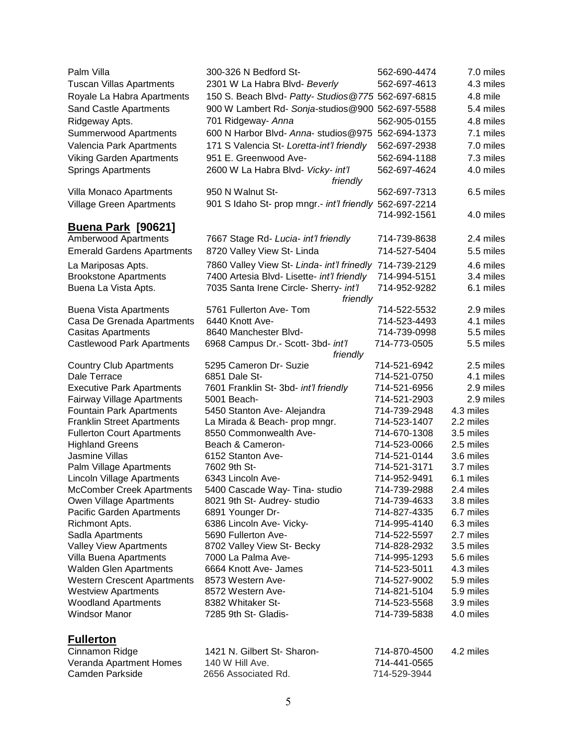| Palm Villa                         | 300-326 N Bedford St-                                   | 562-690-4474 | 7.0 miles |
|------------------------------------|---------------------------------------------------------|--------------|-----------|
| <b>Tuscan Villas Apartments</b>    | 2301 W La Habra Blvd- Beverly                           | 562-697-4613 | 4.3 miles |
| Royale La Habra Apartments         | 150 S. Beach Blvd- Patty- Studios @775 562-697-6815     |              | 4.8 mile  |
| Sand Castle Apartments             | 900 W Lambert Rd- Sonja-studios@900 562-697-5588        |              | 5.4 miles |
| Ridgeway Apts.                     | 701 Ridgeway- Anna                                      | 562-905-0155 | 4.8 miles |
| Summerwood Apartments              | 600 N Harbor Blvd- Anna- studios@975                    | 562-694-1373 | 7.1 miles |
| Valencia Park Apartments           | 171 S Valencia St- Loretta-int'l friendly               | 562-697-2938 | 7.0 miles |
| Viking Garden Apartments           | 951 E. Greenwood Ave-                                   | 562-694-1188 | 7.3 miles |
| <b>Springs Apartments</b>          | 2600 W La Habra Blvd- Vicky- int'l                      | 562-697-4624 | 4.0 miles |
|                                    | friendly                                                |              |           |
| Villa Monaco Apartments            | 950 N Walnut St-                                        | 562-697-7313 | 6.5 miles |
| <b>Village Green Apartments</b>    | 901 S Idaho St- prop mngr.- int'l friendly 562-697-2214 |              |           |
|                                    |                                                         | 714-992-1561 | 4.0 miles |
| <b>Buena Park [90621]</b>          |                                                         |              |           |
| Amberwood Apartments               | 7667 Stage Rd- Lucia- int'l friendly                    | 714-739-8638 | 2.4 miles |
| <b>Emerald Gardens Apartments</b>  | 8720 Valley View St- Linda                              | 714-527-5404 | 5.5 miles |
| La Mariposas Apts.                 | 7860 Valley View St- Linda- int'l frinedly              | 714-739-2129 | 4.6 miles |
| <b>Brookstone Apartments</b>       | 7400 Artesia Blvd- Lisette- int'l friendly              | 714-994-5151 | 3.4 miles |
|                                    | 7035 Santa Irene Circle- Sherry- int'l                  | 714-952-9282 | 6.1 miles |
| Buena La Vista Apts.               | friendly                                                |              |           |
| <b>Buena Vista Apartments</b>      | 5761 Fullerton Ave- Tom                                 | 714-522-5532 | 2.9 miles |
| Casa De Grenada Apartments         | 6440 Knott Ave-                                         | 714-523-4493 | 4.1 miles |
| <b>Casitas Apartments</b>          | 8640 Manchester Blvd-                                   | 714-739-0998 | 5.5 miles |
| <b>Castlewood Park Apartments</b>  | 6968 Campus Dr.- Scott- 3bd- int'l                      | 714-773-0505 | 5.5 miles |
|                                    | friendly                                                |              |           |
| <b>Country Club Apartments</b>     | 5295 Cameron Dr- Suzie                                  | 714-521-6942 | 2.5 miles |
| Dale Terrace                       | 6851 Dale St-                                           | 714-521-0750 | 4.1 miles |
| <b>Executive Park Apartments</b>   | 7601 Franklin St- 3bd- int'l friendly                   | 714-521-6956 | 2.9 miles |
| Fairway Village Apartments         | 5001 Beach-                                             | 714-521-2903 | 2.9 miles |
| <b>Fountain Park Apartments</b>    | 5450 Stanton Ave- Alejandra                             | 714-739-2948 | 4.3 miles |
| <b>Franklin Street Apartments</b>  | La Mirada & Beach- prop mngr.                           | 714-523-1407 | 2.2 miles |
| <b>Fullerton Court Apartments</b>  | 8550 Commonwealth Ave-                                  | 714-670-1308 | 3.5 miles |
| <b>Highland Greens</b>             | Beach & Cameron-                                        | 714-523-0066 | 2.5 miles |
| Jasmine Villas                     | 6152 Stanton Ave-                                       | 714-521-0144 | 3.6 miles |
| Palm Village Apartments            | 7602 9th St-                                            | 714-521-3171 | 3.7 miles |
| Lincoln Village Apartments         | 6343 Lincoln Ave-                                       | 714-952-9491 | 6.1 miles |
| <b>McComber Creek Apartments</b>   | 5400 Cascade Way- Tina- studio                          | 714-739-2988 | 2.4 miles |
| Owen Village Apartments            | 8021 9th St- Audrey- studio                             | 714-739-4633 | 3.8 miles |
| Pacific Garden Apartments          | 6891 Younger Dr-                                        | 714-827-4335 | 6.7 miles |
| Richmont Apts.                     | 6386 Lincoln Ave- Vicky-                                | 714-995-4140 | 6.3 miles |
| Sadla Apartments                   | 5690 Fullerton Ave-                                     | 714-522-5597 | 2.7 miles |
| Valley View Apartments             | 8702 Valley View St- Becky                              | 714-828-2932 | 3.5 miles |
| Villa Buena Apartments             | 7000 La Palma Ave-                                      | 714-995-1293 | 5.6 miles |
| <b>Walden Glen Apartments</b>      | 6664 Knott Ave- James                                   | 714-523-5011 | 4.3 miles |
| <b>Western Crescent Apartments</b> | 8573 Western Ave-                                       | 714-527-9002 | 5.9 miles |
| <b>Westview Apartments</b>         | 8572 Western Ave-                                       | 714-821-5104 | 5.9 miles |
| <b>Woodland Apartments</b>         | 8382 Whitaker St-                                       | 714-523-5568 | 3.9 miles |
| <b>Windsor Manor</b>               | 7285 9th St- Gladis-                                    | 714-739-5838 | 4.0 miles |
| <b>Fullerton</b>                   |                                                         |              |           |
| Cinnamon Ridge                     | 1421 N. Gilbert St- Sharon-                             | 714-870-4500 | 4.2 miles |
| Veranda Apartment Homes            | 140 W Hill Ave.                                         | 714-441-0565 |           |
| Camden Parkside                    | 2656 Associated Rd.                                     | 714-529-3944 |           |
|                                    |                                                         |              |           |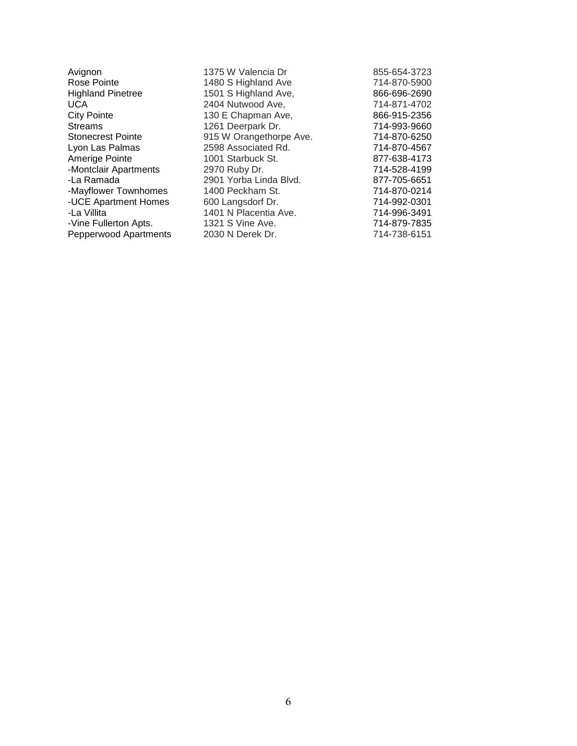| Avignon                  | 1375 W Valencia Dr      | 855-654-3723 |
|--------------------------|-------------------------|--------------|
| Rose Pointe              | 1480 S Highland Ave     | 714-870-5900 |
| <b>Highland Pinetree</b> | 1501 S Highland Ave,    | 866-696-2690 |
| UCA                      | 2404 Nutwood Ave,       | 714-871-4702 |
| <b>City Pointe</b>       | 130 E Chapman Ave,      | 866-915-2356 |
| <b>Streams</b>           | 1261 Deerpark Dr.       | 714-993-9660 |
| <b>Stonecrest Pointe</b> | 915 W Orangethorpe Ave. | 714-870-6250 |
| Lyon Las Palmas          | 2598 Associated Rd.     | 714-870-4567 |
| Amerige Pointe           | 1001 Starbuck St.       | 877-638-4173 |
| -Montclair Apartments    | 2970 Ruby Dr.           | 714-528-4199 |
| -La Ramada               | 2901 Yorba Linda Blvd.  | 877-705-6651 |
| -Mayflower Townhomes     | 1400 Peckham St.        | 714-870-0214 |
| -UCE Apartment Homes     | 600 Langsdorf Dr.       | 714-992-0301 |
| -La Villita              | 1401 N Placentia Ave.   | 714-996-3491 |
| -Vine Fullerton Apts.    | 1321 S Vine Ave.        | 714-879-7835 |
| Pepperwood Apartments    | 2030 N Derek Dr.        | 714-738-6151 |
|                          |                         |              |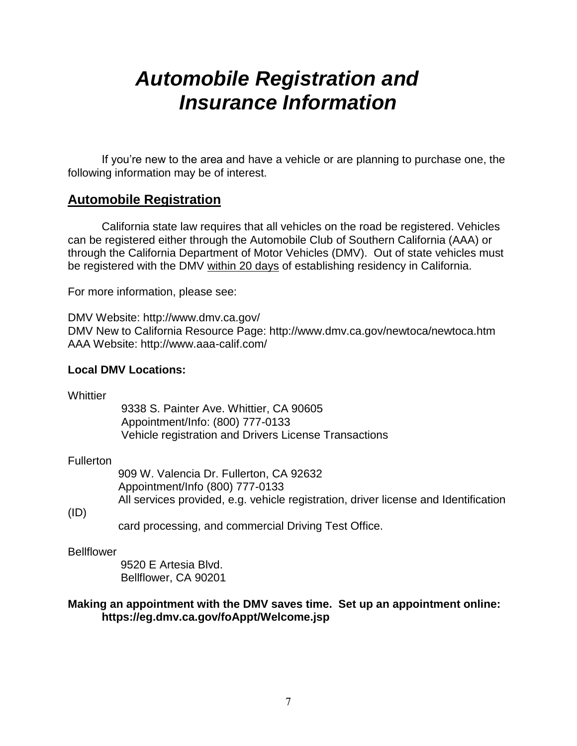## *Automobile Registration and Insurance Information*

If you're new to the area and have a vehicle or are planning to purchase one, the following information may be of interest.

## **Automobile Registration**

California state law requires that all vehicles on the road be registered. Vehicles can be registered either through the Automobile Club of Southern California (AAA) or through the California Department of Motor Vehicles (DMV). Out of state vehicles must be registered with the DMV within 20 days of establishing residency in California.

For more information, please see:

DMV Website: http://www.dmv.ca.gov/ DMV New to California Resource Page: http://www.dmv.ca.gov/newtoca/newtoca.htm AAA Website: http://www.aaa-calif.com/

## **Local DMV Locations:**

**Whittier** 

 9338 S. Painter Ave. Whittier, CA 90605 Appointment/Info: (800) 777-0133 Vehicle registration and Drivers License Transactions

## **Fullerton**

 909 W. Valencia Dr. Fullerton, CA 92632 Appointment/Info (800) 777-0133 All services provided, e.g. vehicle registration, driver license and Identification

## (ID)

card processing, and commercial Driving Test Office.

## Bellflower

 9520 E Artesia Blvd. Bellflower, CA 90201

## **Making an appointment with the DMV saves time. Set up an appointment online: https://eg.dmv.ca.gov/foAppt/Welcome.jsp**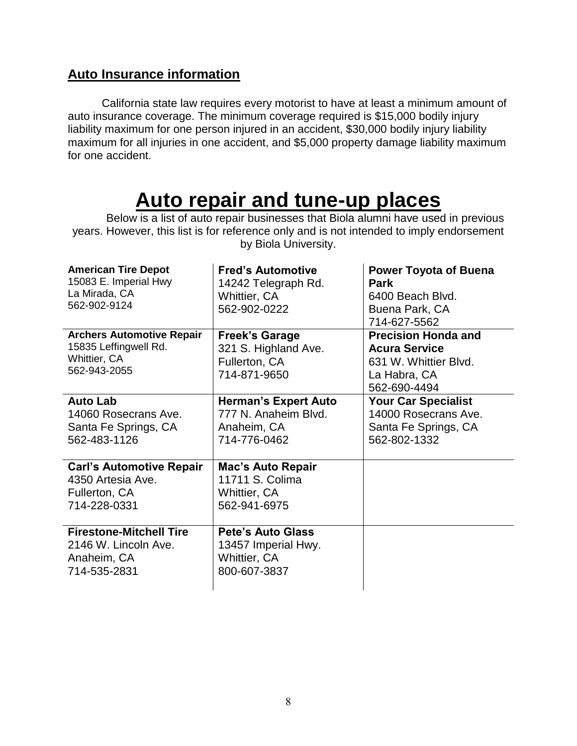## **Auto Insurance information**

California state law requires every motorist to have at least a minimum amount of auto insurance coverage. The minimum coverage required is \$15,000 bodily injury liability maximum for one person injured in an accident, \$30,000 bodily injury liability maximum for all injuries in one accident, and \$5,000 property damage liability maximum for one accident.

## **Auto repair and tune-up places**

Below is a list of auto repair businesses that Biola alumni have used in previous years. However, this list is for reference only and is not intended to imply endorsement by Biola University.

| <b>American Tire Depot</b><br>15083 E. Imperial Hwy<br>La Mirada, CA<br>562-902-9124      | <b>Fred's Automotive</b><br>14242 Telegraph Rd.<br>Whittier, CA<br>562-902-0222        | <b>Power Toyota of Buena</b><br>Park<br>6400 Beach Blvd.<br>Buena Park, CA<br>714-627-5562                  |
|-------------------------------------------------------------------------------------------|----------------------------------------------------------------------------------------|-------------------------------------------------------------------------------------------------------------|
| <b>Archers Automotive Repair</b><br>15835 Leffingwell Rd.<br>Whittier, CA<br>562-943-2055 | <b>Freek's Garage</b><br>321 S. Highland Ave.<br>Fullerton, CA<br>714-871-9650         | <b>Precision Honda and</b><br><b>Acura Service</b><br>631 W. Whittier Blvd.<br>La Habra, CA<br>562-690-4494 |
| <b>Auto Lab</b><br>14060 Rosecrans Ave.<br>Santa Fe Springs, CA<br>562-483-1126           | <b>Herman's Expert Auto</b><br>777 N. Anaheim Blvd.<br>Anaheim, CA<br>714-776-0462     | <b>Your Car Specialist</b><br>14000 Rosecrans Ave.<br>Santa Fe Springs, CA<br>562-802-1332                  |
| <b>Carl's Automotive Repair</b><br>4350 Artesia Ave.<br>Fullerton, CA<br>714-228-0331     | <b>Mac's Auto Repair</b><br>11711 S. Colima<br><b>Whittier, CA</b><br>562-941-6975     |                                                                                                             |
| <b>Firestone-Mitchell Tire</b><br>2146 W. Lincoln Ave.<br>Anaheim, CA<br>714-535-2831     | <b>Pete's Auto Glass</b><br>13457 Imperial Hwy.<br><b>Whittier, CA</b><br>800-607-3837 |                                                                                                             |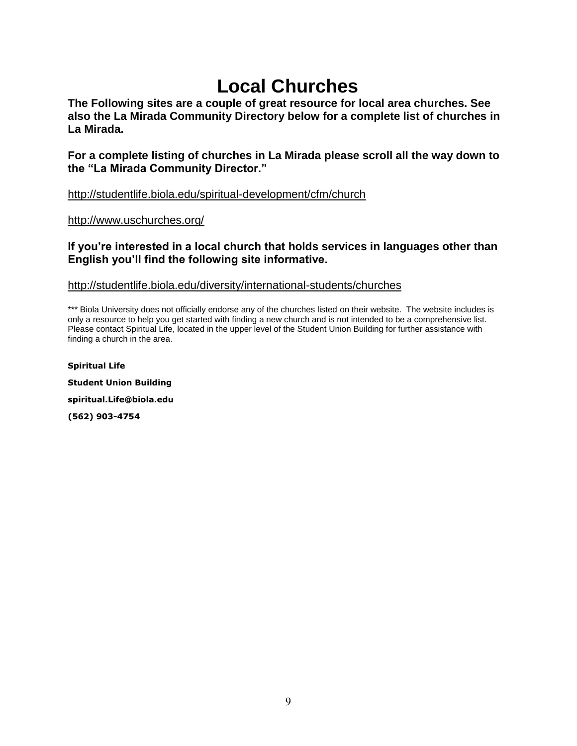## **Local Churches**

**The Following sites are a couple of great resource for local area churches. See also the La Mirada Community Directory below for a complete list of churches in La Mirada.**

**For a complete listing of churches in La Mirada please scroll all the way down to the "La Mirada Community Director."**

<http://studentlife.biola.edu/spiritual-development/cfm/church>

<http://www.uschurches.org/>

## **If you're interested in a local church that holds services in languages other than English you'll find the following site informative.**

## <http://studentlife.biola.edu/diversity/international-students/churches>

\*\*\* Biola University does not officially endorse any of the churches listed on their website. The website includes is only a resource to help you get started with finding a new church and is not intended to be a comprehensive list. Please contact Spiritual Life, located in the upper level of the Student Union Building for further assistance with finding a church in the area.

**Spiritual Life Student Union Building spiritual.Life@biola.edu (562) 903-4754**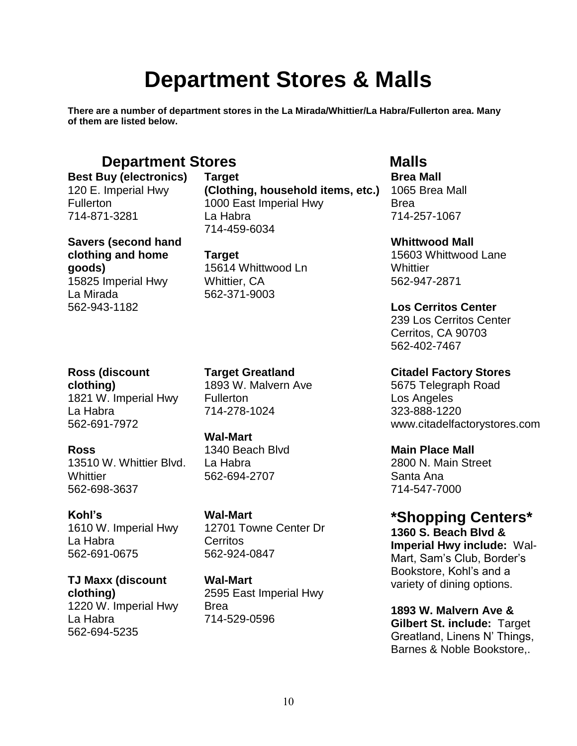## **Department Stores & Malls**

**There are a number of department stores in the La Mirada/Whittier/La Habra/Fullerton area. Many of them are listed below.**

## **Department Stores Malls**

**Best Buy (electronics)** 120 E. Imperial Hwy **Fullerton** 714-871-3281

**Savers (second hand clothing and home goods)** 15825 Imperial Hwy La Mirada 562-943-1182

**Ross (discount** 

**clothing)** 1821 W. Imperial Hwy La Habra 562-691-7972

## **Ross**

13510 W. Whittier Blvd. **Whittier** 562-698-3637

**Kohl's** 

1610 W. Imperial Hwy La Habra 562-691-0675

**TJ Maxx (discount clothing)** 1220 W. Imperial Hwy La Habra 562-694-5235

**Target (Clothing, household items, etc.)** 1000 East Imperial Hwy La Habra 714-459-6034

**Target** 15614 Whittwood Ln Whittier, CA 562-371-9003

**Target Greatland** 1893 W. Malvern Ave Fullerton 714-278-1024

**Wal-Mart**

1340 Beach Blvd La Habra 562-694-2707

**Wal-Mart** 12701 Towne Center Dr Cerritos 562-924-0847

**Wal-Mart** 2595 East Imperial Hwy Brea 714-529-0596

**Brea Mall**  1065 Brea Mall Brea 714-257-1067

**Whittwood Mall**

15603 Whittwood Lane **Whittier** 562-947-2871

**Los Cerritos Center**

239 Los Cerritos Center Cerritos, CA 90703 562-402-7467

**Citadel Factory Stores**

5675 Telegraph Road Los Angeles 323-888-1220 www.citadelfactorystores.com

**Main Place Mall**

2800 N. Main Street Santa Ana 714-547-7000

**\*Shopping Centers\***

**1360 S. Beach Blvd & Imperial Hwy include:** Wal-Mart, Sam's Club, Border's Bookstore, Kohl's and a variety of dining options.

**1893 W. Malvern Ave & Gilbert St. include:** Target Greatland, Linens N' Things, Barnes & Noble Bookstore,.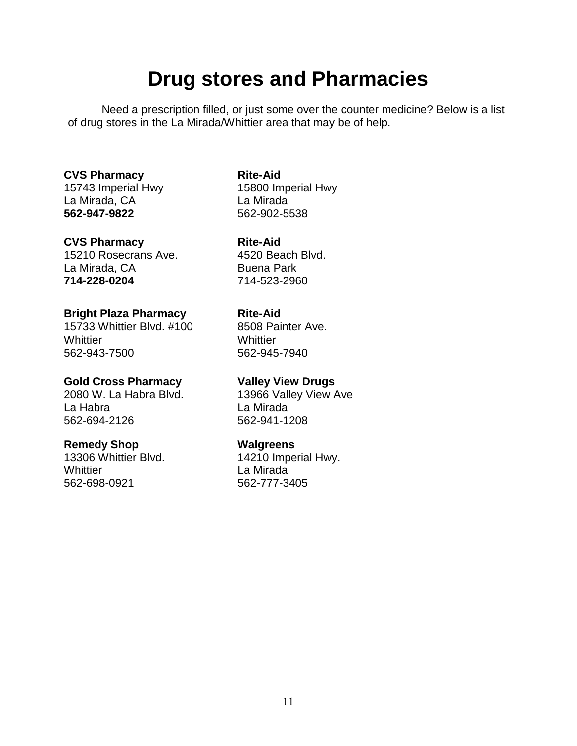## **Drug stores and Pharmacies**

Need a prescription filled, or just some over the counter medicine? Below is a list of drug stores in the La Mirada/Whittier area that may be of help.

## **CVS Pharmacy**

15743 Imperial Hwy La Mirada, CA **562-947-9822**

## **CVS Pharmacy**

15210 Rosecrans Ave. La Mirada, CA **714-228-0204**

## **Bright Plaza Pharmacy**

15733 Whittier Blvd. #100 **Whittier** 562-943-7500

## **Gold Cross Pharmacy**

2080 W. La Habra Blvd. La Habra 562-694-2126

## **Remedy Shop**

13306 Whittier Blvd. **Whittier** 562-698-0921

## **Rite-Aid**

15800 Imperial Hwy La Mirada 562-902-5538

**Rite-Aid**

4520 Beach Blvd. Buena Park 714-523-2960

## **Rite-Aid**

8508 Painter Ave. **Whittier** 562-945-7940

## **Valley View Drugs**

13966 Valley View Ave La Mirada 562-941-1208

## **Walgreens**

14210 Imperial Hwy. La Mirada 562-777-3405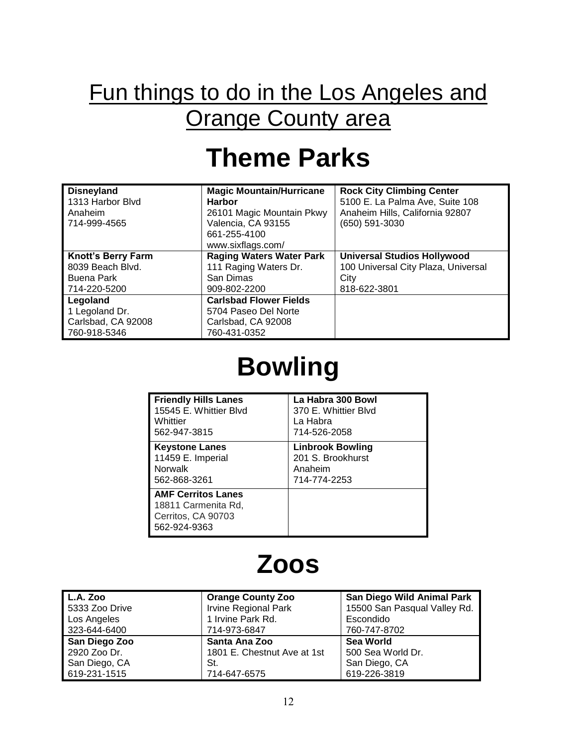## Fun things to do in the Los Angeles and **Orange County area**

## **Theme Parks**

| <b>Disneyland</b><br>1313 Harbor Blvd<br>Anaheim<br>714-999-4565 | <b>Magic Mountain/Hurricane</b><br><b>Harbor</b><br>26101 Magic Mountain Pkwy<br>Valencia, CA 93155<br>661-255-4100<br>www.sixflags.com/ | <b>Rock City Climbing Center</b><br>5100 E. La Palma Ave, Suite 108<br>Anaheim Hills, California 92807<br>(650) 591-3030 |
|------------------------------------------------------------------|------------------------------------------------------------------------------------------------------------------------------------------|--------------------------------------------------------------------------------------------------------------------------|
| <b>Knott's Berry Farm</b>                                        | <b>Raging Waters Water Park</b>                                                                                                          | <b>Universal Studios Hollywood</b>                                                                                       |
| 8039 Beach Blvd.                                                 | 111 Raging Waters Dr.                                                                                                                    | 100 Universal City Plaza, Universal                                                                                      |
| Buena Park                                                       | San Dimas                                                                                                                                | City                                                                                                                     |
| 714-220-5200                                                     | 909-802-2200                                                                                                                             | 818-622-3801                                                                                                             |
| Legoland                                                         | <b>Carlsbad Flower Fields</b>                                                                                                            |                                                                                                                          |
| 1 Legoland Dr.                                                   | 5704 Paseo Del Norte                                                                                                                     |                                                                                                                          |
| Carlsbad, CA 92008                                               | Carlsbad, CA 92008                                                                                                                       |                                                                                                                          |
| 760-918-5346                                                     | 760-431-0352                                                                                                                             |                                                                                                                          |

# **Bowling**

| <b>Friendly Hills Lanes</b>                                                            | La Habra 300 Bowl       |
|----------------------------------------------------------------------------------------|-------------------------|
| 15545 E. Whittier Blvd                                                                 | 370 E. Whittier Blyd    |
| Whittier                                                                               | La Habra                |
| 562-947-3815                                                                           | 714-526-2058            |
| <b>Keystone Lanes</b>                                                                  | <b>Linbrook Bowling</b> |
| 11459 E. Imperial                                                                      | 201 S. Brookhurst       |
| <b>Norwalk</b>                                                                         | Anaheim                 |
| 562-868-3261                                                                           | 714-774-2253            |
| <b>AMF Cerritos Lanes</b><br>18811 Carmenita Rd,<br>Cerritos, CA 90703<br>562-924-9363 |                         |

## **Zoos**

| $\mathsf{L}$ .A. Zoo | <b>Orange County Zoo</b>    | San Diego Wild Animal Park   |
|----------------------|-----------------------------|------------------------------|
| 5333 Zoo Drive       | <b>Irvine Regional Park</b> | 15500 San Pasqual Valley Rd. |
| Los Angeles          | 1 Irvine Park Rd.           | Escondido                    |
| 323-644-6400         | 714-973-6847                | 760-747-8702                 |
| San Diego Zoo        | Santa Ana Zoo               | <b>Sea World</b>             |
| 2920 Zoo Dr.         | 1801 E. Chestnut Ave at 1st | 500 Sea World Dr.            |
| San Diego, CA        | St.                         | San Diego, CA                |
| 619-231-1515         | 714-647-6575                | 619-226-3819                 |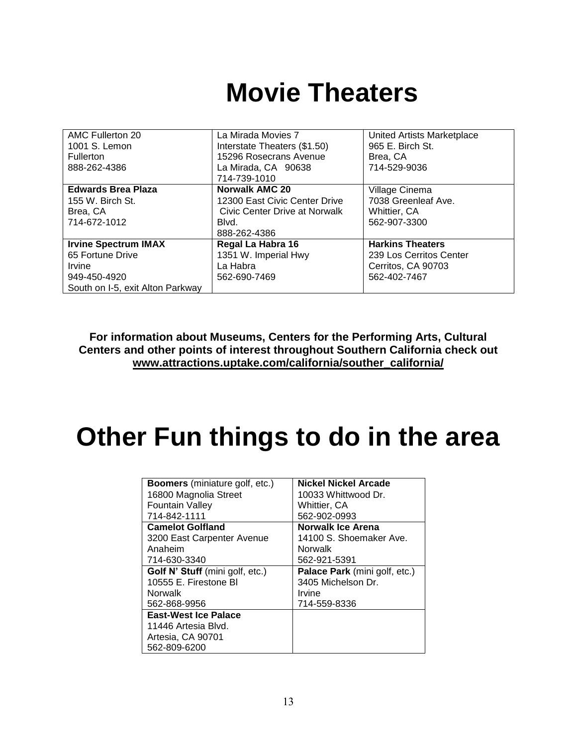## **Movie Theaters**

| AMC Fullerton 20                 | La Mirada Movies 7            | United Artists Marketplace |
|----------------------------------|-------------------------------|----------------------------|
| 1001 S. Lemon                    | Interstate Theaters (\$1.50)  | 965 E. Birch St.           |
| Fullerton                        | 15296 Rosecrans Avenue        | Brea, CA                   |
| 888-262-4386                     | La Mirada, CA 90638           | 714-529-9036               |
|                                  | 714-739-1010                  |                            |
| <b>Edwards Brea Plaza</b>        | <b>Norwalk AMC 20</b>         | Village Cinema             |
| 155 W. Birch St.                 | 12300 East Civic Center Drive | 7038 Greenleaf Ave.        |
| Brea, CA                         | Civic Center Drive at Norwalk | Whittier, CA               |
| 714-672-1012                     | Blvd.                         | 562-907-3300               |
|                                  | 888-262-4386                  |                            |
| <b>Irvine Spectrum IMAX</b>      | Regal La Habra 16             | <b>Harkins Theaters</b>    |
| 65 Fortune Drive                 | 1351 W. Imperial Hwy          | 239 Los Cerritos Center    |
| Irvine                           | La Habra                      | Cerritos, CA 90703         |
| 949-450-4920                     | 562-690-7469                  | 562-402-7467               |
| South on I-5, exit Alton Parkway |                               |                            |

**For information about Museums, Centers for the Performing Arts, Cultural Centers and other points of interest throughout Southern California check out [www.attractions.uptake.com/california/souther\\_california/](http://www.attractions.uptake.com/california/souther_california/)**

# **Other Fun things to do in the area**

| <b>Boomers</b> (miniature golf, etc.) | <b>Nickel Nickel Arcade</b>   |
|---------------------------------------|-------------------------------|
| 16800 Magnolia Street                 | 10033 Whittwood Dr.           |
| <b>Fountain Valley</b>                | Whittier, CA                  |
| 714-842-1111                          | 562-902-0993                  |
| <b>Camelot Golfland</b>               | Norwalk Ice Arena             |
| 3200 East Carpenter Avenue            | 14100 S. Shoemaker Ave.       |
| Anaheim                               | <b>Norwalk</b>                |
| 714-630-3340                          | 562-921-5391                  |
| Golf N' Stuff (mini golf, etc.)       | Palace Park (mini golf, etc.) |
| 10555 E. Firestone BI                 | 3405 Michelson Dr.            |
| Norwalk                               | Irvine                        |
| 562-868-9956                          | 714-559-8336                  |
| <b>East-West Ice Palace</b>           |                               |
| 11446 Artesia Blvd.                   |                               |
| Artesia, CA 90701                     |                               |
| 562-809-6200                          |                               |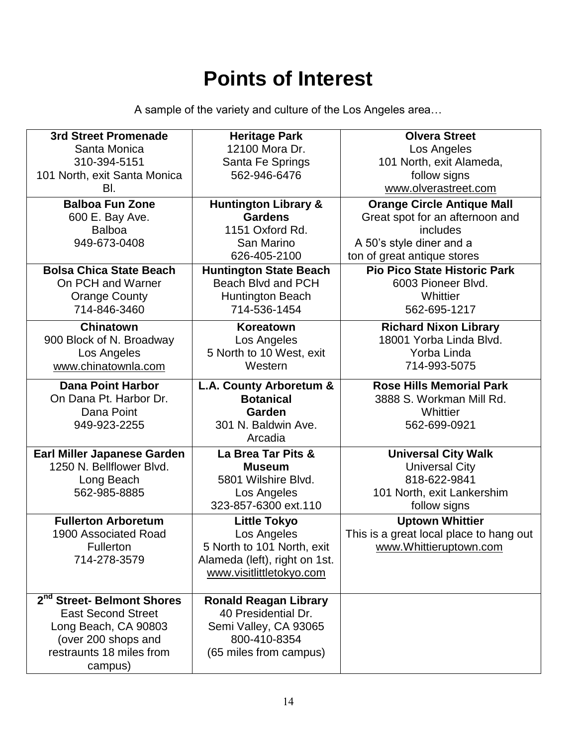## **Points of Interest**

A sample of the variety and culture of the Los Angeles area…

| 3rd Street Promenade                                    | <b>Heritage Park</b>            | <b>Olvera Street</b>                    |
|---------------------------------------------------------|---------------------------------|-----------------------------------------|
| Santa Monica                                            | 12100 Mora Dr.                  | Los Angeles                             |
| 310-394-5151                                            | Santa Fe Springs                | 101 North, exit Alameda,                |
| 101 North, exit Santa Monica                            | 562-946-6476                    | follow signs                            |
| BI.                                                     |                                 | www.olverastreet.com                    |
| <b>Balboa Fun Zone</b>                                  | <b>Huntington Library &amp;</b> | <b>Orange Circle Antique Mall</b>       |
| 600 E. Bay Ave.                                         | <b>Gardens</b>                  | Great spot for an afternoon and         |
| <b>Balboa</b>                                           | 1151 Oxford Rd.                 | includes                                |
| 949-673-0408                                            | San Marino                      | A 50's style diner and a                |
|                                                         | 626-405-2100                    | ton of great antique stores             |
| <b>Bolsa Chica State Beach</b>                          | <b>Huntington State Beach</b>   | <b>Pio Pico State Historic Park</b>     |
| On PCH and Warner                                       | Beach Blvd and PCH              | 6003 Pioneer Blvd.                      |
| <b>Orange County</b>                                    | <b>Huntington Beach</b>         | Whittier                                |
| 714-846-3460                                            | 714-536-1454                    | 562-695-1217                            |
| <b>Chinatown</b>                                        | Koreatown                       | <b>Richard Nixon Library</b>            |
| 900 Block of N. Broadway                                | Los Angeles                     | 18001 Yorba Linda Blvd.                 |
| Los Angeles                                             | 5 North to 10 West, exit        | Yorba Linda                             |
| www.chinatownla.com                                     | Western                         | 714-993-5075                            |
| <b>Dana Point Harbor</b>                                | L.A. County Arboretum &         | <b>Rose Hills Memorial Park</b>         |
| On Dana Pt. Harbor Dr.                                  | <b>Botanical</b>                | 3888 S. Workman Mill Rd.                |
| Dana Point                                              | Garden                          | Whittier                                |
| 949-923-2255                                            | 301 N. Baldwin Ave.             | 562-699-0921                            |
|                                                         | Arcadia                         |                                         |
|                                                         |                                 |                                         |
|                                                         | La Brea Tar Pits &              |                                         |
| Earl Miller Japanese Garden<br>1250 N. Bellflower Blvd. | <b>Museum</b>                   | <b>Universal City Walk</b>              |
| Long Beach                                              | 5801 Wilshire Blvd.             | <b>Universal City</b><br>818-622-9841   |
| 562-985-8885                                            | Los Angeles                     | 101 North, exit Lankershim              |
|                                                         | 323-857-6300 ext.110            | follow signs                            |
| <b>Fullerton Arboretum</b>                              | <b>Little Tokyo</b>             | <b>Uptown Whittier</b>                  |
| 1900 Associated Road                                    | Los Angeles                     | This is a great local place to hang out |
| <b>Fullerton</b>                                        | 5 North to 101 North, exit      | www.Whittieruptown.com                  |
| 714-278-3579                                            | Alameda (left), right on 1st.   |                                         |
|                                                         | www.visitlittletokyo.com        |                                         |
|                                                         |                                 |                                         |
| 2 <sup>nd</sup> Street- Belmont Shores                  | <b>Ronald Reagan Library</b>    |                                         |
| <b>East Second Street</b>                               | 40 Presidential Dr.             |                                         |
| Long Beach, CA 90803                                    | Semi Valley, CA 93065           |                                         |
| (over 200 shops and                                     | 800-410-8354                    |                                         |
| restraunts 18 miles from<br>campus)                     | (65 miles from campus)          |                                         |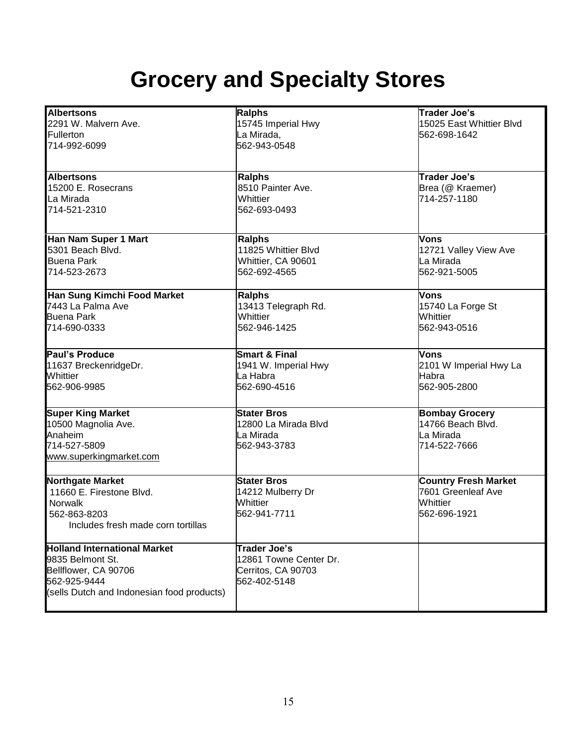## **Grocery and Specialty Stores**

| <b>Albertsons</b>                          | <b>Ralphs</b>            | <b>Trader Joe's</b>         |
|--------------------------------------------|--------------------------|-----------------------------|
| 2291 W. Malvern Ave.                       | 15745 Imperial Hwy       | 15025 East Whittier Blvd    |
| Fullerton                                  | La Mirada,               | 562-698-1642                |
| 714-992-6099                               | 562-943-0548             |                             |
|                                            |                          |                             |
| <b>Albertsons</b>                          | <b>Ralphs</b>            | <b>Trader Joe's</b>         |
| 15200 E. Rosecrans                         | 8510 Painter Ave.        | Brea (@ Kraemer)            |
| La Mirada                                  | Whittier                 | 714-257-1180                |
| 714-521-2310                               | 562-693-0493             |                             |
| Han Nam Super 1 Mart                       | <b>Ralphs</b>            | Vons                        |
| 5301 Beach Blvd.                           | 11825 Whittier Blvd      |                             |
|                                            |                          | 12721 Valley View Ave       |
| <b>Buena Park</b>                          | Whittier, CA 90601       | La Mirada                   |
| 714-523-2673                               | 562-692-4565             | 562-921-5005                |
| Han Sung Kimchi Food Market                | <b>Ralphs</b>            | Vons                        |
| 7443 La Palma Ave                          | 13413 Telegraph Rd.      | 15740 La Forge St           |
| <b>Buena Park</b>                          | Whittier                 | Whittier                    |
| 714-690-0333                               | 562-946-1425             | 562-943-0516                |
| Paul's Produce                             | <b>Smart &amp; Final</b> | <b>Vons</b>                 |
| 11637 BreckenridgeDr.                      | 1941 W. Imperial Hwy     | 2101 W Imperial Hwy La      |
| Whittier                                   | La Habra                 | Habra                       |
| 562-906-9985                               | 562-690-4516             | 562-905-2800                |
|                                            |                          |                             |
| <b>Super King Market</b>                   | <b>Stater Bros</b>       | <b>Bombay Grocery</b>       |
| 10500 Magnolia Ave.                        | 12800 La Mirada Blvd     | 14766 Beach Blvd.           |
| Anaheim                                    | La Mirada                | La Mirada                   |
| 714-527-5809                               | 562-943-3783             | 714-522-7666                |
| www.superkingmarket.com                    |                          |                             |
| <b>Northgate Market</b>                    | <b>Stater Bros</b>       | <b>Country Fresh Market</b> |
| 11660 E. Firestone Blvd.                   | 14212 Mulberry Dr        | 7601 Greenleaf Ave          |
| Norwalk                                    | Whittier                 | Whittier                    |
| 562-863-8203                               | 562-941-7711             | 562-696-1921                |
| Includes fresh made corn tortillas         |                          |                             |
| <b>Holland International Market</b>        | Trader Joe's             |                             |
| 9835 Belmont St.                           | 12861 Towne Center Dr.   |                             |
|                                            |                          |                             |
| Bellflower, CA 90706                       | Cerritos, CA 90703       |                             |
| 562-925-9444                               | 562-402-5148             |                             |
| (sells Dutch and Indonesian food products) |                          |                             |
|                                            |                          |                             |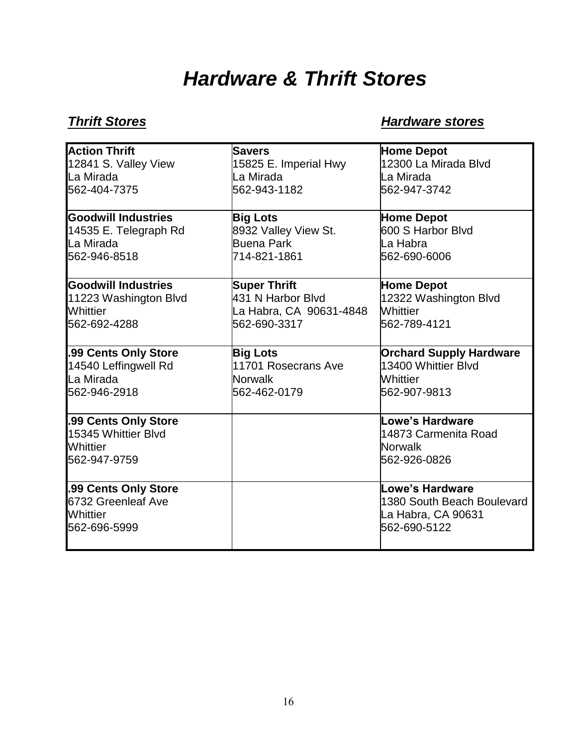## *Hardware & Thrift Stores*

## *Thrift Stores Mardware stores Hardware stores*

| <b>Action Thrift</b>       | <b>Savers</b>           | <b>Home Depot</b>              |
|----------------------------|-------------------------|--------------------------------|
| 12841 S. Valley View       | 15825 E. Imperial Hwy   | 12300 La Mirada Blvd           |
| La Mirada                  | La Mirada               | La Mirada                      |
| 562-404-7375               | 562-943-1182            | 562-947-3742                   |
|                            |                         |                                |
| <b>Goodwill Industries</b> | <b>Big Lots</b>         | <b>Home Depot</b>              |
| 14535 E. Telegraph Rd      | 8932 Valley View St.    | 600 S Harbor Blvd              |
| La Mirada                  | <b>Buena Park</b>       | La Habra                       |
| 562-946-8518               | 714-821-1861            | 562-690-6006                   |
| <b>Goodwill Industries</b> | <b>Super Thrift</b>     | <b>Home Depot</b>              |
| 11223 Washington Blvd      | 431 N Harbor Blvd       | 12322 Washington Blvd          |
| Whittier                   | La Habra, CA 90631-4848 | Whittier                       |
| 562-692-4288               | 562-690-3317            | 562-789-4121                   |
|                            |                         |                                |
| .99 Cents Only Store       | <b>Big Lots</b>         | <b>Orchard Supply Hardware</b> |
| 14540 Leffingwell Rd       | 11701 Rosecrans Ave     | 13400 Whittier Blyd            |
| La Mirada                  | <b>Norwalk</b>          | <b>Whittier</b>                |
| 562-946-2918               | 562-462-0179            | 562-907-9813                   |
|                            |                         |                                |
| .99 Cents Only Store       |                         | Lowe's Hardware                |
| 15345 Whittier Blyd        |                         | 14873 Carmenita Road           |
| Whittier                   |                         | <b>Norwalk</b>                 |
| 562-947-9759               |                         | 562-926-0826                   |
| .99 Cents Only Store       |                         | Lowe's Hardware                |
| 6732 Greenleaf Ave         |                         | 1380 South Beach Boulevard     |
| Whittier                   |                         | La Habra, CA 90631             |
| 562-696-5999               |                         | 562-690-5122                   |
|                            |                         |                                |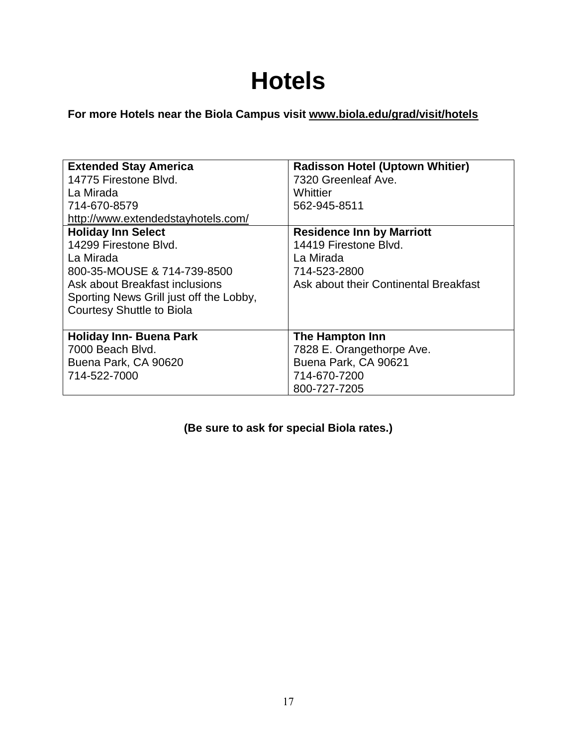## **Hotels**

**For more Hotels near the Biola Campus visit [www.biola.edu/grad/visit/hotels](http://www.biola.edu/grad/visit/hotels)**

| <b>Extended Stay America</b><br>14775 Firestone Blvd.                   | <b>Radisson Hotel (Uptown Whitier)</b><br>7320 Greenleaf Ave. |
|-------------------------------------------------------------------------|---------------------------------------------------------------|
| La Mirada                                                               | Whittier                                                      |
| 714-670-8579                                                            | 562-945-8511                                                  |
| http://www.extendedstayhotels.com/                                      |                                                               |
| <b>Holiday Inn Select</b>                                               | <b>Residence Inn by Marriott</b>                              |
| 14299 Firestone Blvd.                                                   | 14419 Firestone Blvd.                                         |
| La Mirada                                                               | La Mirada                                                     |
| 800-35-MOUSE & 714-739-8500                                             | 714-523-2800                                                  |
| Ask about Breakfast inclusions<br>Ask about their Continental Breakfast |                                                               |
| Sporting News Grill just off the Lobby,                                 |                                                               |
| <b>Courtesy Shuttle to Biola</b>                                        |                                                               |
|                                                                         |                                                               |
| <b>Holiday Inn- Buena Park</b>                                          | The Hampton Inn                                               |
| 7000 Beach Blvd.                                                        | 7828 E. Orangethorpe Ave.                                     |
| Buena Park, CA 90620                                                    | Buena Park, CA 90621                                          |
| 714-522-7000                                                            | 714-670-7200                                                  |
|                                                                         | 800-727-7205                                                  |

## **(Be sure to ask for special Biola rates.)**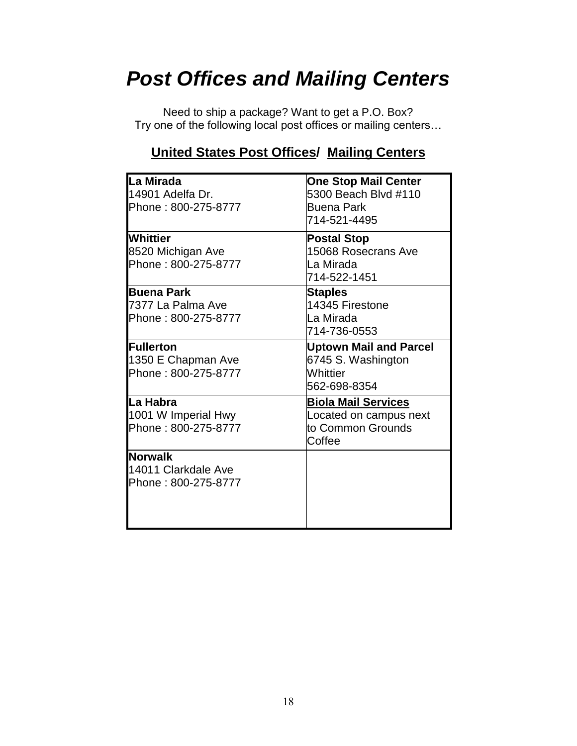## *Post Offices and Mailing Centers*

Need to ship a package? Want to get a P.O. Box? Try one of the following local post offices or mailing centers…

## **United States Post Offices/ Mailing Centers**

| La Mirada<br>14901 Adelfa Dr.<br>Phone: 800-275-8777          | <b>One Stop Mail Center</b><br>5300 Beach Blvd #110<br><b>Buena Park</b><br>714-521-4495 |
|---------------------------------------------------------------|------------------------------------------------------------------------------------------|
| Whittier<br>8520 Michigan Ave<br>Phone: 800-275-8777          | <b>Postal Stop</b><br>15068 Rosecrans Ave<br>La Mirada<br>714-522-1451                   |
| <b>Buena Park</b><br>7377 La Palma Ave<br>Phone: 800-275-8777 | <b>Staples</b><br>14345 Firestone<br>La Mirada<br>714-736-0553                           |
| <b>Fullerton</b><br>1350 E Chapman Ave<br>Phone: 800-275-8777 | <b>Uptown Mail and Parcel</b><br>6745 S. Washington<br>Whittier<br>562-698-8354          |
| lLa Habra<br>1001 W Imperial Hwy<br>Phone: 800-275-8777       | <b>Biola Mail Services</b><br>Located on campus next<br>to Common Grounds<br>Coffee      |
| <b>Norwalk</b><br>14011 Clarkdale Ave<br>Phone: 800-275-8777  |                                                                                          |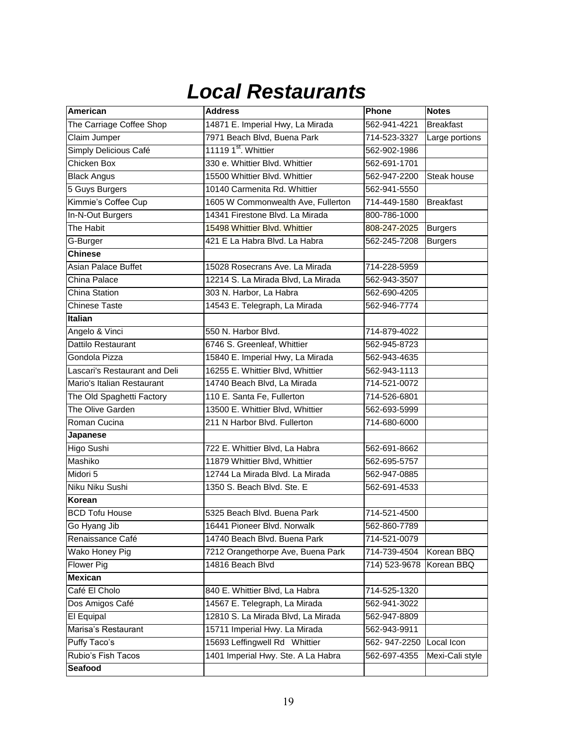## *Local Restaurants*

| <b>American</b>               | <b>Address</b>                     | Phone         | <b>Notes</b>     |
|-------------------------------|------------------------------------|---------------|------------------|
| The Carriage Coffee Shop      | 14871 E. Imperial Hwy, La Mirada   | 562-941-4221  | <b>Breakfast</b> |
| Claim Jumper                  | 7971 Beach Blvd, Buena Park        | 714-523-3327  | Large portions   |
| Simply Delicious Café         | 11119 1 <sup>st</sup> . Whittier   | 562-902-1986  |                  |
| <b>Chicken Box</b>            | 330 e. Whittier Blvd. Whittier     | 562-691-1701  |                  |
| <b>Black Angus</b>            | 15500 Whittier Blvd. Whittier      | 562-947-2200  | Steak house      |
| 5 Guys Burgers                | 10140 Carmenita Rd. Whittier       | 562-941-5550  |                  |
| Kimmie's Coffee Cup           | 1605 W Commonwealth Ave, Fullerton | 714-449-1580  | <b>Breakfast</b> |
| In-N-Out Burgers              | 14341 Firestone Blvd. La Mirada    | 800-786-1000  |                  |
| The Habit                     | 15498 Whittier Blyd, Whittier      | 808-247-2025  | <b>Burgers</b>   |
| G-Burger                      | 421 E La Habra Blvd. La Habra      | 562-245-7208  | <b>Burgers</b>   |
| <b>Chinese</b>                |                                    |               |                  |
| <b>Asian Palace Buffet</b>    | 15028 Rosecrans Ave. La Mirada     | 714-228-5959  |                  |
| China Palace                  | 12214 S. La Mirada Blvd, La Mirada | 562-943-3507  |                  |
| <b>China Station</b>          | 303 N. Harbor, La Habra            | 562-690-4205  |                  |
| <b>Chinese Taste</b>          | 14543 E. Telegraph, La Mirada      | 562-946-7774  |                  |
| <b>Italian</b>                |                                    |               |                  |
| Angelo & Vinci                | 550 N. Harbor Blvd.                | 714-879-4022  |                  |
| Dattilo Restaurant            | 6746 S. Greenleaf, Whittier        | 562-945-8723  |                  |
| Gondola Pizza                 | 15840 E. Imperial Hwy, La Mirada   | 562-943-4635  |                  |
| Lascari's Restaurant and Deli | 16255 E. Whittier Blvd, Whittier   | 562-943-1113  |                  |
| Mario's Italian Restaurant    | 14740 Beach Blvd, La Mirada        | 714-521-0072  |                  |
| The Old Spaghetti Factory     | 110 E. Santa Fe, Fullerton         | 714-526-6801  |                  |
| The Olive Garden              | 13500 E. Whittier Blvd, Whittier   | 562-693-5999  |                  |
| Roman Cucina                  | 211 N Harbor Blvd. Fullerton       | 714-680-6000  |                  |
| Japanese                      |                                    |               |                  |
| Higo Sushi                    | 722 E. Whittier Blvd, La Habra     | 562-691-8662  |                  |
| Mashiko                       | 11879 Whittier Blvd, Whittier      | 562-695-5757  |                  |
| Midori 5                      | 12744 La Mirada Blvd. La Mirada    | 562-947-0885  |                  |
| Niku Niku Sushi               | 1350 S. Beach Blvd. Ste. E         | 562-691-4533  |                  |
| Korean                        |                                    |               |                  |
| <b>BCD Tofu House</b>         | 5325 Beach Blvd. Buena Park        | 714-521-4500  |                  |
| Go Hyang Jib                  | 16441 Pioneer Blvd. Norwalk        | 562-860-7789  |                  |
| Renaissance Café              | 14740 Beach Blvd. Buena Park       | 714-521-0079  |                  |
| Wako Honey Pig                | 7212 Orangethorpe Ave, Buena Park  | 714-739-4504  | Korean BBQ       |
| <b>Flower Pig</b>             | 14816 Beach Blvd                   | 714) 523-9678 | Korean BBQ       |
| <b>Mexican</b>                |                                    |               |                  |
| Café El Cholo                 | 840 E. Whittier Blvd, La Habra     | 714-525-1320  |                  |
| Dos Amigos Café               | 14567 E. Telegraph, La Mirada      | 562-941-3022  |                  |
| El Equipal                    | 12810 S. La Mirada Blvd, La Mirada | 562-947-8809  |                  |
| Marisa's Restaurant           | 15711 Imperial Hwy. La Mirada      | 562-943-9911  |                  |
| Puffy Taco's                  | 15693 Leffingwell Rd Whittier      | 562-947-2250  | Local Icon       |
| Rubio's Fish Tacos            | 1401 Imperial Hwy. Ste. A La Habra | 562-697-4355  | Mexi-Cali style  |
| Seafood                       |                                    |               |                  |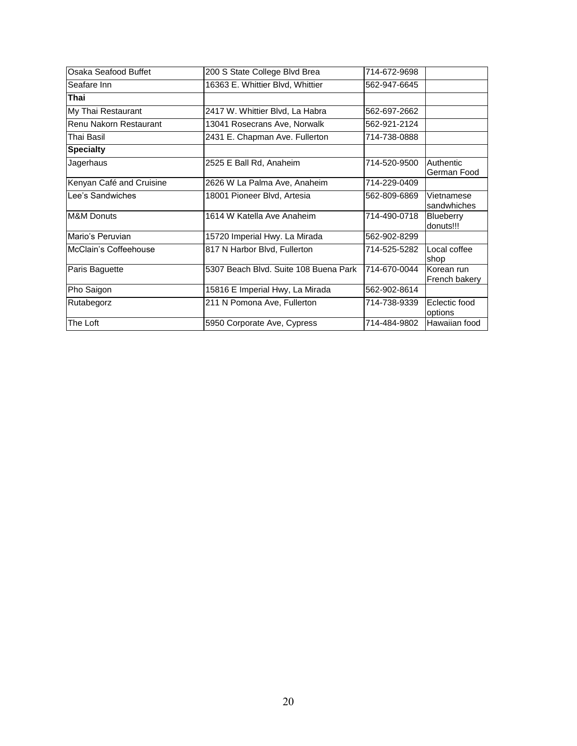| Osaka Seafood Buffet     | 200 S State College Blvd Brea         | 714-672-9698 |                             |
|--------------------------|---------------------------------------|--------------|-----------------------------|
| Seafare Inn              | 16363 E. Whittier Blvd, Whittier      | 562-947-6645 |                             |
| Thai                     |                                       |              |                             |
| My Thai Restaurant       | 2417 W. Whittier Blvd, La Habra       | 562-697-2662 |                             |
| Renu Nakorn Restaurant   | 13041 Rosecrans Ave, Norwalk          | 562-921-2124 |                             |
| Thai Basil               | 2431 E. Chapman Ave. Fullerton        | 714-738-0888 |                             |
| <b>Specialty</b>         |                                       |              |                             |
| Jagerhaus                | 2525 E Ball Rd, Anaheim               | 714-520-9500 | Authentic<br>German Food    |
| Kenyan Café and Cruisine | 2626 W La Palma Ave, Anaheim          | 714-229-0409 |                             |
| Lee's Sandwiches         | 18001 Pioneer Blvd, Artesia           | 562-809-6869 | Vietnamese<br>sandwhiches   |
| <b>M&amp;M Donuts</b>    | 1614 W Katella Ave Anaheim            | 714-490-0718 | Blueberry<br>donuts!!!      |
| Mario's Peruvian         | 15720 Imperial Hwy. La Mirada         | 562-902-8299 |                             |
| McClain's Coffeehouse    | 817 N Harbor Blvd, Fullerton          | 714-525-5282 | Local coffee<br>shop        |
| Paris Baguette           | 5307 Beach Blvd. Suite 108 Buena Park | 714-670-0044 | Korean run<br>French bakery |
| Pho Saigon               | 15816 E Imperial Hwy, La Mirada       | 562-902-8614 |                             |
| Rutabegorz               | 211 N Pomona Ave, Fullerton           | 714-738-9339 | Eclectic food<br>options    |
| The Loft                 | 5950 Corporate Ave, Cypress           | 714-484-9802 | Hawaiian food               |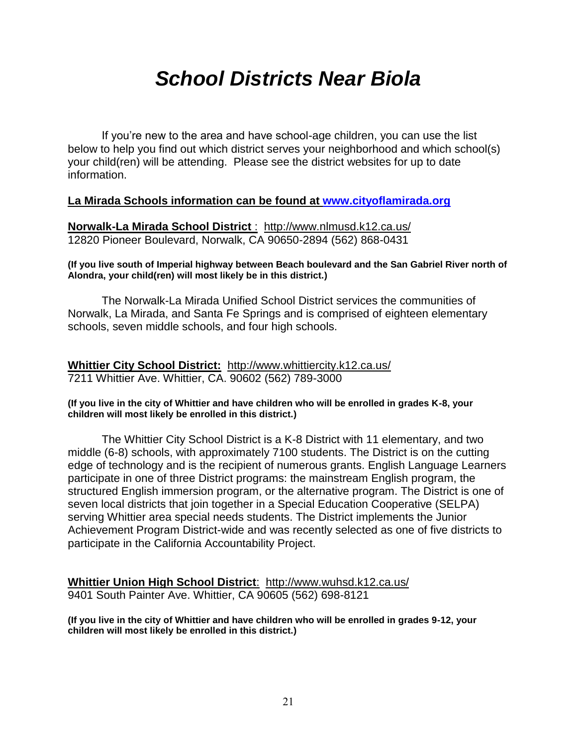## *School Districts Near Biola*

If you're new to the area and have school-age children, you can use the list below to help you find out which district serves your neighborhood and which school(s) your child(ren) will be attending. Please see the district websites for up to date information.

## **La Mirada Schools information can be found at [www.cityoflamirada.org](http://www.cityoflamirada.org/)**

**Norwalk-La Mirada School District** : <http://www.nlmusd.k12.ca.us/> 12820 Pioneer Boulevard, Norwalk, CA 90650-2894 (562) 868-0431

**(If you live south of Imperial highway between Beach boulevard and the San Gabriel River north of Alondra, your child(ren) will most likely be in this district.)**

The Norwalk-La Mirada Unified School District services the communities of Norwalk, La Mirada, and Santa Fe Springs and is comprised of eighteen elementary schools, seven middle schools, and four high schools.

**Whittier City School District:** <http://www.whittiercity.k12.ca.us/> 7211 Whittier Ave. Whittier, CA. 90602 (562) 789-3000

## **(If you live in the city of Whittier and have children who will be enrolled in grades K-8, your children will most likely be enrolled in this district.)**

The Whittier City School District is a K-8 District with 11 elementary, and two middle (6-8) schools, with approximately 7100 students. The District is on the cutting edge of technology and is the recipient of numerous grants. English Language Learners participate in one of three District programs: the mainstream English program, the structured English immersion program, or the alternative program. The District is one of seven local districts that join together in a Special Education Cooperative (SELPA) serving Whittier area special needs students. The District implements the Junior Achievement Program District-wide and was recently selected as one of five districts to participate in the California Accountability Project.

**Whittier Union High School District**: http://www.wuhsd.k12.ca.us/ 9401 South Painter Ave. Whittier, CA 90605 (562) 698-8121

**(If you live in the city of Whittier and have children who will be enrolled in grades 9-12, your children will most likely be enrolled in this district.)**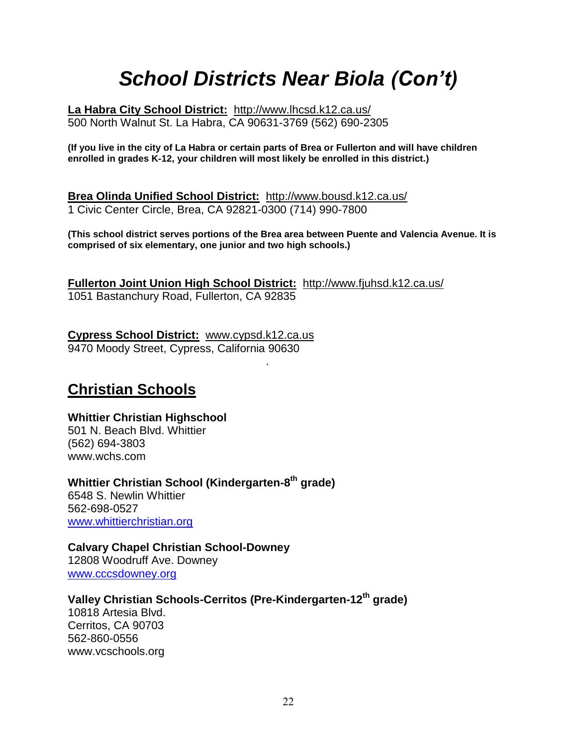## *School Districts Near Biola (Con't)*

**La Habra City School District:** <http://www.lhcsd.k12.ca.us/> 500 North Walnut St. La Habra, CA 90631-3769 (562) 690-2305

**(If you live in the city of La Habra or certain parts of Brea or Fullerton and will have children enrolled in grades K-12, your children will most likely be enrolled in this district.)**

**Brea Olinda Unified School District:** <http://www.bousd.k12.ca.us/> 1 Civic Center Circle, Brea, CA 92821-0300 (714) 990-7800

**(This school district serves portions of the Brea area between Puente and Valencia Avenue. It is comprised of six elementary, one junior and two high schools.)**

**Fullerton Joint Union High School District:** http://www.fjuhsd.k12.ca.us/ 1051 Bastanchury Road, Fullerton, CA 92835

**Cypress School District:** [www.cypsd.k12.ca.us](http://www.cypsd.k12.ca.us/) 9470 Moody Street, Cypress, California 90630

.

## **Christian Schools**

## **Whittier Christian Highschool**

501 N. Beach Blvd. Whittier (562) 694-3803 www.wchs.com

**Whittier Christian School (Kindergarten-8 th grade)**  6548 S. Newlin Whittier 562-698-0527 [www.whittierchristian.org](http://www.whittierchristian.org/)

**Calvary Chapel Christian School-Downey** 12808 Woodruff Ave. Downey [www.cccsdowney.org](http://www.cccsdowney.org/)

## **Valley Christian Schools-Cerritos (Pre-Kindergarten-12th grade)**

10818 Artesia Blvd. Cerritos, CA 90703 562-860-0556 www.vcschools.org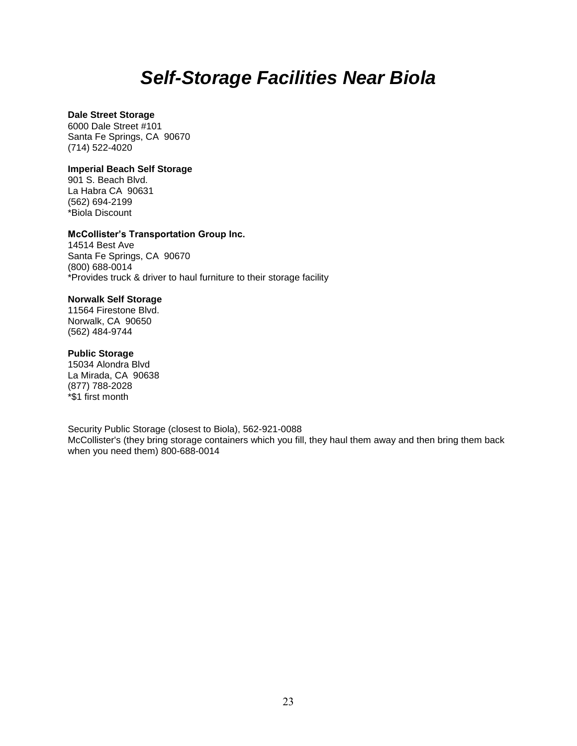## *Self-Storage Facilities Near Biola*

## **Dale Street Storage**

6000 Dale Street #101 Santa Fe Springs, CA 90670 (714) 522-4020

### **Imperial Beach Self Storage**

901 S. Beach Blvd. La Habra CA 90631 (562) 694-2199 \*Biola Discount

### **McCollister's Transportation Group Inc.**

14514 Best Ave Santa Fe Springs, CA 90670 (800) 688-0014 \*Provides truck & driver to haul furniture to their storage facility

### **Norwalk Self Storage**

11564 Firestone Blvd. Norwalk, CA 90650 (562) 484-9744

### **Public Storage**

15034 Alondra Blvd La Mirada, CA 90638 (877) 788-2028 \*\$1 first month

Security Public Storage (closest to Biola), 562-921-0088 McCollister's (they bring storage containers which you fill, they haul them away and then bring them back when you need them) 800-688-0014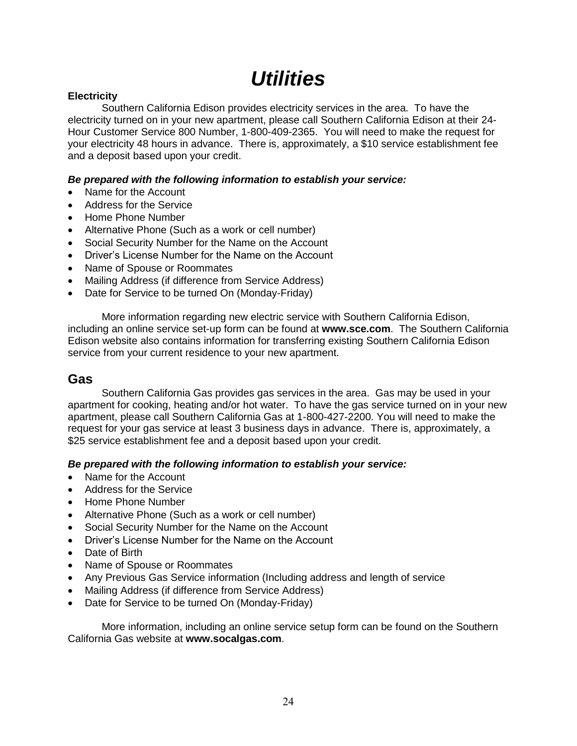## *Utilities*

## **Electricity**

Southern California Edison provides electricity services in the area. To have the electricity turned on in your new apartment, please call Southern California Edison at their 24- Hour Customer Service 800 Number, 1-800-409-2365. You will need to make the request for your electricity 48 hours in advance. There is, approximately, a \$10 service establishment fee and a deposit based upon your credit.

## *Be prepared with the following information to establish your service:*

- Name for the Account
- Address for the Service
- Home Phone Number
- Alternative Phone (Such as a work or cell number)
- Social Security Number for the Name on the Account
- Driver's License Number for the Name on the Account
- Name of Spouse or Roommates
- Mailing Address (if difference from Service Address)
- Date for Service to be turned On (Monday-Friday)

More information regarding new electric service with Southern California Edison, including an online service set-up form can be found at **www.sce.com**. The Southern California Edison website also contains information for transferring existing Southern California Edison service from your current residence to your new apartment.

## **Gas**

Southern California Gas provides gas services in the area. Gas may be used in your apartment for cooking, heating and/or hot water. To have the gas service turned on in your new apartment, please call Southern California Gas at 1-800-427-2200. You will need to make the request for your gas service at least 3 business days in advance. There is, approximately, a \$25 service establishment fee and a deposit based upon your credit.

*Be prepared with the following information to establish your service:*

- Name for the Account
- Address for the Service
- Home Phone Number
- Alternative Phone (Such as a work or cell number)
- Social Security Number for the Name on the Account
- Driver's License Number for the Name on the Account
- Date of Birth
- Name of Spouse or Roommates
- Any Previous Gas Service information (Including address and length of service
- Mailing Address (if difference from Service Address)
- Date for Service to be turned On (Monday-Friday)

More information, including an online service setup form can be found on the Southern California Gas website at **www.socalgas.com**.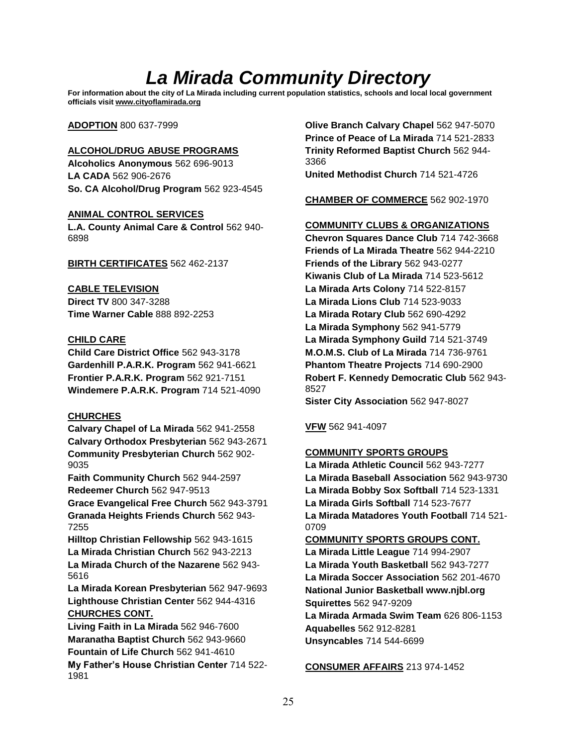## *La Mirada Community Directory*

**For information about the city of La Mirada including current population statistics, schools and local local government officials visi[t www.cityoflamirada.org](http://www.cityoflamirada.org/)**

### **ADOPTION** 800 637-7999

### **ALCOHOL/DRUG ABUSE PROGRAMS**

**Alcoholics Anonymous** 562 696-9013 **LA CADA** 562 906-2676 **So. CA Alcohol/Drug Program** 562 923-4545

### **ANIMAL CONTROL SERVICES**

**L.A. County Animal Care & Control** 562 940- 6898

### **BIRTH CERTIFICATES** 562 462-2137

### **CABLE TELEVISION**

**Direct TV** 800 347-3288 **Time Warner Cable** 888 892-2253

### **CHILD CARE**

**Child Care District Office** 562 943-3178 **Gardenhill P.A.R.K. Program** 562 941-6621 **Frontier P.A.R.K. Program** 562 921-7151 **Windemere P.A.R.K. Program** 714 521-4090

## **CHURCHES**

**Calvary Chapel of La Mirada** 562 941-2558 **Calvary Orthodox Presbyterian** 562 943-2671 **Community Presbyterian Church** 562 902- 9035

**Faith Community Church** 562 944-2597 **Redeemer Church** 562 947-9513 **Grace Evangelical Free Church** 562 943-3791

**Granada Heights Friends Church** 562 943- 7255

**Hilltop Christian Fellowship** 562 943-1615 **La Mirada Christian Church** 562 943-2213 **La Mirada Church of the Nazarene** 562 943- 5616

**La Mirada Korean Presbyterian** 562 947-9693 **Lighthouse Christian Center** 562 944-4316 **CHURCHES CONT.**

**Living Faith in La Mirada** 562 946-7600 **Maranatha Baptist Church** 562 943-9660 **Fountain of Life Church** 562 941-4610 **My Father's House Christian Center** 714 522- 1981

**Olive Branch Calvary Chapel** 562 947-5070 **Prince of Peace of La Mirada** 714 521-2833 **Trinity Reformed Baptist Church** 562 944- 3366

**United Methodist Church** 714 521-4726

**CHAMBER OF COMMERCE** 562 902-1970

## **COMMUNITY CLUBS & ORGANIZATIONS**

**Chevron Squares Dance Club** 714 742-3668 **Friends of La Mirada Theatre** 562 944-2210 **Friends of the Library** 562 943-0277 **Kiwanis Club of La Mirada** 714 523-5612 **La Mirada Arts Colony** 714 522-8157 **La Mirada Lions Club** 714 523-9033 **La Mirada Rotary Club** 562 690-4292 **La Mirada Symphony** 562 941-5779 **La Mirada Symphony Guild** 714 521-3749 **M.O.M.S. Club of La Mirada** 714 736-9761 **Phantom Theatre Projects** 714 690-2900 **Robert F. Kennedy Democratic Club** 562 943- 8527

**Sister City Association** 562 947-8027

**VFW** 562 941-4097

## **COMMUNITY SPORTS GROUPS**

**La Mirada Athletic Council** 562 943-7277 **La Mirada Baseball Association** 562 943-9730 **La Mirada Bobby Sox Softball** 714 523-1331 **La Mirada Girls Softball** 714 523-7677 **La Mirada Matadores Youth Football** 714 521- 0709

#### **COMMUNITY SPORTS GROUPS CONT.**

**La Mirada Little League** 714 994-2907 **La Mirada Youth Basketball** 562 943-7277 **La Mirada Soccer Association** 562 201-4670 **National Junior Basketball www.njbl.org Squirettes** 562 947-9209 **La Mirada Armada Swim Team** 626 806-1153 **Aquabelles** 562 912-8281 **Unsyncables** 714 544-6699

## **CONSUMER AFFAIRS** 213 974-1452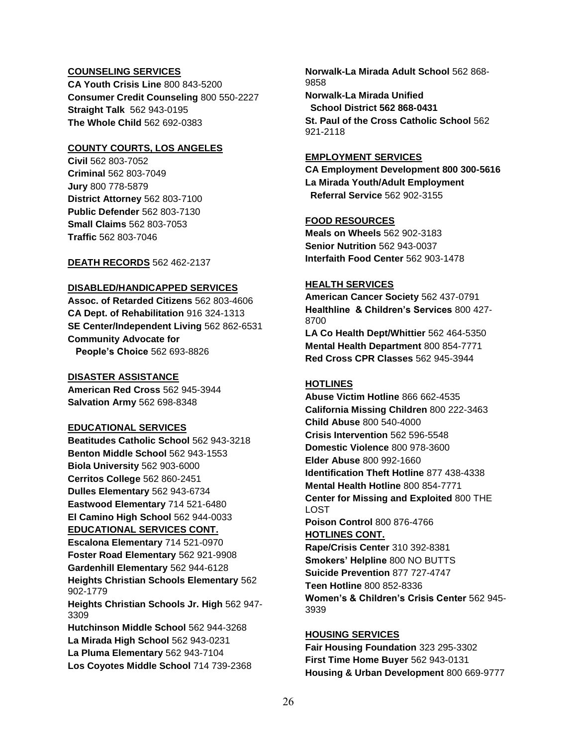### **COUNSELING SERVICES**

**CA Youth Crisis Line** 800 843-5200 **Consumer Credit Counseling** 800 550-2227 **Straight Talk** 562 943-0195 **The Whole Child** 562 692-0383

## **COUNTY COURTS, LOS ANGELES**

**Civil** 562 803-7052 **Criminal** 562 803-7049 **Jury** 800 778-5879 **District Attorney** 562 803-7100 **Public Defender** 562 803-7130 **Small Claims** 562 803-7053 **Traffic** 562 803-7046

**DEATH RECORDS** 562 462-2137

### **DISABLED/HANDICAPPED SERVICES**

**Assoc. of Retarded Citizens** 562 803-4606 **CA Dept. of Rehabilitation** 916 324-1313 **SE Center/Independent Living** 562 862-6531 **Community Advocate for People's Choice** 562 693-8826

### **DISASTER ASSISTANCE**

**American Red Cross** 562 945-3944 **Salvation Army** 562 698-8348

## **EDUCATIONAL SERVICES**

**Beatitudes Catholic School** 562 943-3218 **Benton Middle School** 562 943-1553 **Biola University** 562 903-6000 **Cerritos College** 562 860-2451 **Dulles Elementary** 562 943-6734 **Eastwood Elementary** 714 521-6480 **El Camino High School** 562 944-0033 **EDUCATIONAL SERVICES CONT. Escalona Elementary** 714 521-0970 **Foster Road Elementary** 562 921-9908

**Gardenhill Elementary** 562 944-6128 **Heights Christian Schools Elementary** 562 902-1779

**Heights Christian Schools Jr. High** 562 947- 3309

**Hutchinson Middle School** 562 944-3268 **La Mirada High School** 562 943-0231 **La Pluma Elementary** 562 943-7104 **Los Coyotes Middle School** 714 739-2368 **Norwalk-La Mirada Adult School** 562 868- 9858

**Norwalk-La Mirada Unified School District 562 868-0431 St. Paul of the Cross Catholic School** 562 921-2118

## **EMPLOYMENT SERVICES**

**CA Employment Development 800 300-5616 La Mirada Youth/Adult Employment Referral Service** 562 902-3155

## **FOOD RESOURCES**

**Meals on Wheels** 562 902-3183 **Senior Nutrition** 562 943-0037 **Interfaith Food Center** 562 903-1478

## **HEALTH SERVICES**

**American Cancer Society** 562 437-0791 **Healthline & Children's Services** 800 427- 8700

**LA Co Health Dept/Whittier** 562 464-5350 **Mental Health Department** 800 854-7771 **Red Cross CPR Classes** 562 945-3944

## **HOTLINES**

**Abuse Victim Hotline** 866 662-4535 **California Missing Children** 800 222-3463 **Child Abuse** 800 540-4000 **Crisis Intervention** 562 596-5548 **Domestic Violence** 800 978-3600 **Elder Abuse** 800 992-1660 **Identification Theft Hotline** 877 438-4338 **Mental Health Hotline** 800 854-7771 **Center for Missing and Exploited** 800 THE LOST **Poison Control** 800 876-4766 **HOTLINES CONT.**

**Rape/Crisis Center** 310 392-8381 **Smokers' Helpline** 800 NO BUTTS **Suicide Prevention** 877 727-4747 **Teen Hotline** 800 852-8336 **Women's & Children's Crisis Center** 562 945- 3939

## **HOUSING SERVICES**

**Fair Housing Foundation** 323 295-3302 **First Time Home Buyer** 562 943-0131 **Housing & Urban Development** 800 669-9777